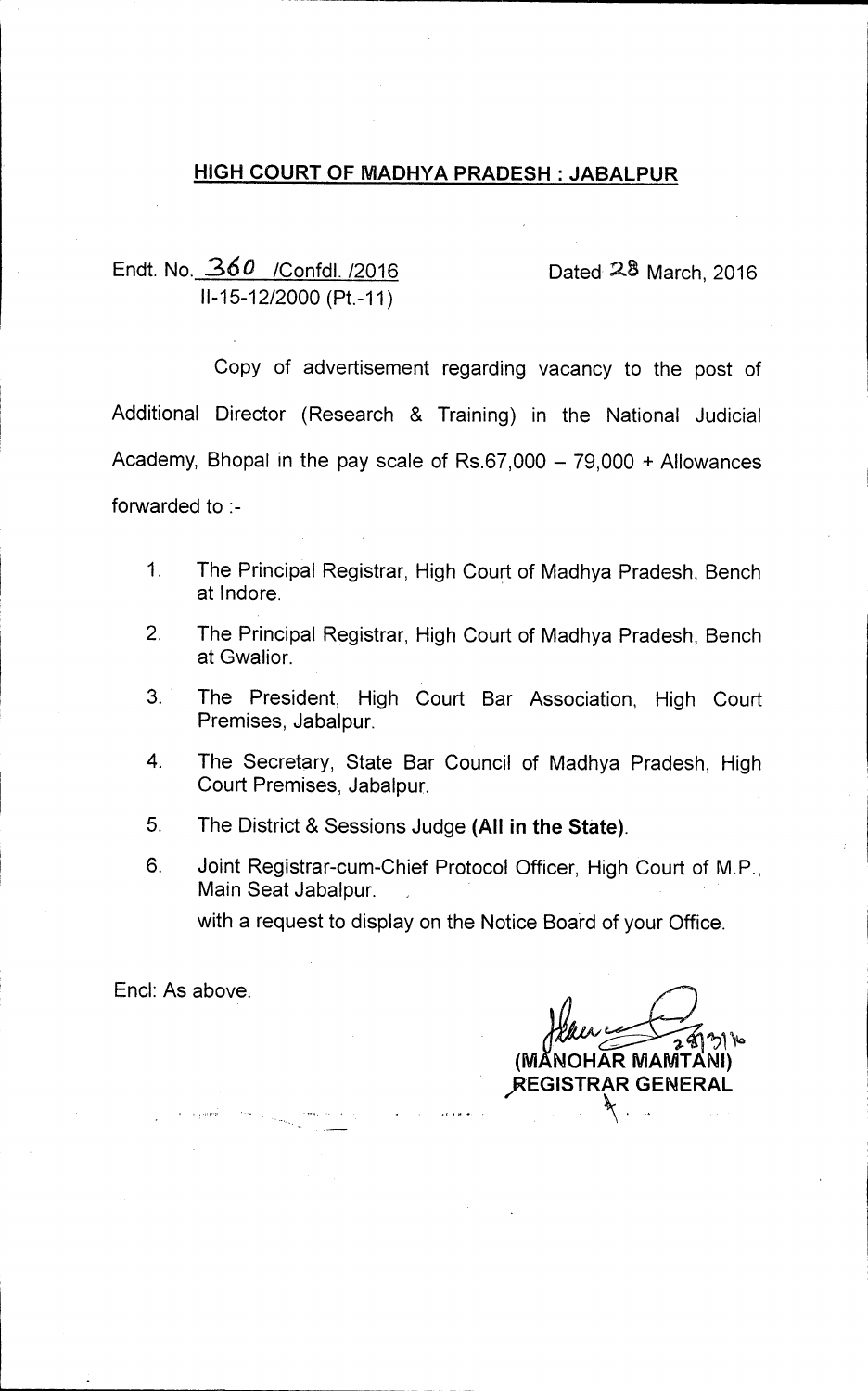## **HIGH COURT OF MADHYA PRADESH : JABALPUR**

Endt. No. 360 / Confdl. /2016 Dated 28 March, 2016 11-15-12/2000 (Pt.-11)

Copy of advertisement regarding vacancy to the post of Additional Director (Research & Training) in the National Judicial Academy, Bhopal in the pay scale of Rs.67,000 — 79,000 + Allowances forwarded to :-

- 1. The Principal Registrar, High Court of Madhya Pradesh, Bench at lndore.
- 2. The Principal Registrar, High Court of Madhya Pradesh, Bench at Gwalior.
- 3. The President, High Court Bar Association, High Court Premises, Jabalpur.
- 4. The Secretary, State Bar Council of Madhya Pradesh, High Court Premises, Jabalpur.
- 5. The District & Sessions Judge **(All in the State).**
- 6. Joint Registrar-cum-Chief Protocol Officer, High Court of M.P., Main Seat Jabalpur. with a request to display on the Notice Board of your Office.

End: As above.

 $29216$ **(M A NOHAR MAMTANI) )REGISTRAR GENERAL**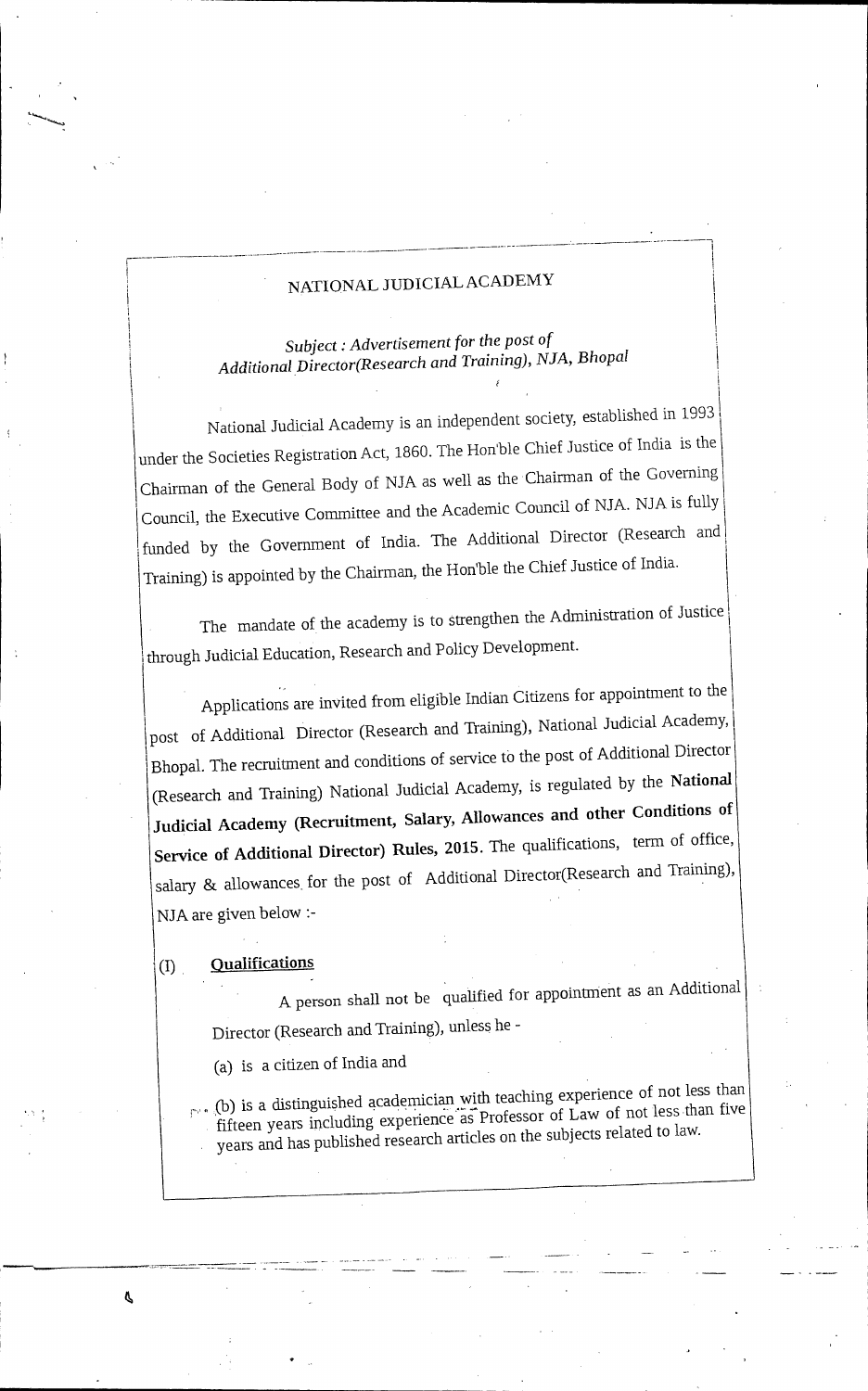# NATIONAL JUDICIAL ACADEMY

*Subject Advertisement* for *the post of Additional Director(Research and Training), NJA, Bhopal* 

National Judicial Academy is an independent society, established in 1993 under the Societies Registration Act, 1860. The Hon'ble Chief Justice of India is the Chairman of the General Body of NJA as well as the Chairman of the Governing Council, the Executive Committee and the Academic Council of NJA. NJA is fully i funded by the Government of India. The Additional Director (Research and Training) is appointed by the Chairman, the Honible the Chief Justice of India. I

The mandate of the academy is to strengthen the Administration of Justice through Judicial Education, Research and Policy Development. 1

Applications are invited from eligible Indian Citizens for appointment to the post of Additional Director (Research and Training), National Judicial Academy, Bhopal. The recruitment and conditions of service to the post of Additional Director (Research and Training) National Judicial Academy, is regulated by the National Judicial Academy (Recruitment, Salary, Allowances and other Conditions of Service of Additional Director) Rules, 2015. The qualifications, term of office, salary & allowances for the post of Additional Director(Research and Training), NJA are given below :-

#### **Qualifications**  $\textcircled{\scriptsize{1}}$

Ŝ

A person shall not be qualified for appointment as an Additional Director (Research and Training), unless he -

(a) is a citizen of India and

 $_{\Gamma^*}$ . (b) is a distinguished academician with teaching experience of not less than fifteen years including experience' as Professor of Law of not less than five years and has published research articles on the subjects related to law.